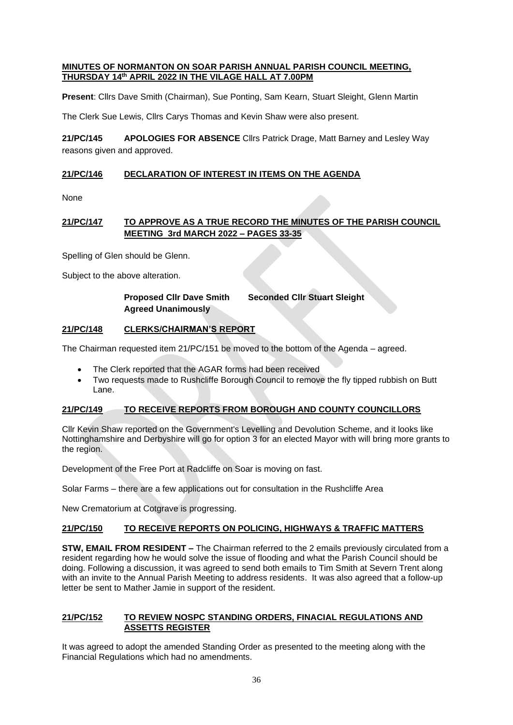#### **MINUTES OF NORMANTON ON SOAR PARISH ANNUAL PARISH COUNCIL MEETING, THURSDAY 14th APRIL 2022 IN THE VILAGE HALL AT 7.00PM**

**Present**: Cllrs Dave Smith (Chairman), Sue Ponting, Sam Kearn, Stuart Sleight, Glenn Martin

The Clerk Sue Lewis, Cllrs Carys Thomas and Kevin Shaw were also present.

**21/PC/145 APOLOGIES FOR ABSENCE** Cllrs Patrick Drage, Matt Barney and Lesley Way reasons given and approved.

# **21/PC/146 DECLARATION OF INTEREST IN ITEMS ON THE AGENDA**

None

# **21/PC/147 TO APPROVE AS A TRUE RECORD THE MINUTES OF THE PARISH COUNCIL MEETING 3rd MARCH 2022 – PAGES 33-35**

Spelling of Glen should be Glenn.

Subject to the above alteration.

# **Proposed Cllr Dave Smith Seconded Cllr Stuart Sleight Agreed Unanimously**

## **21/PC/148 CLERKS/CHAIRMAN'S REPORT**

The Chairman requested item 21/PC/151 be moved to the bottom of the Agenda – agreed.

- The Clerk reported that the AGAR forms had been received
- Two requests made to Rushcliffe Borough Council to remove the fly tipped rubbish on Butt Lane.

## **21/PC/149 TO RECEIVE REPORTS FROM BOROUGH AND COUNTY COUNCILLORS**

Cllr Kevin Shaw reported on the Government's Levelling and Devolution Scheme, and it looks like Nottinghamshire and Derbyshire will go for option 3 for an elected Mayor with will bring more grants to the region.

Development of the Free Port at Radcliffe on Soar is moving on fast.

Solar Farms – there are a few applications out for consultation in the Rushcliffe Area

New Crematorium at Cotgrave is progressing.

## **21/PC/150 TO RECEIVE REPORTS ON POLICING, HIGHWAYS & TRAFFIC MATTERS**

**STW, EMAIL FROM RESIDENT –** The Chairman referred to the 2 emails previously circulated from a resident regarding how he would solve the issue of flooding and what the Parish Council should be doing. Following a discussion, it was agreed to send both emails to Tim Smith at Severn Trent along with an invite to the Annual Parish Meeting to address residents. It was also agreed that a follow-up letter be sent to Mather Jamie in support of the resident.

#### **21/PC/152 TO REVIEW NOSPC STANDING ORDERS, FINACIAL REGULATIONS AND ASSETTS REGISTER**

It was agreed to adopt the amended Standing Order as presented to the meeting along with the Financial Regulations which had no amendments.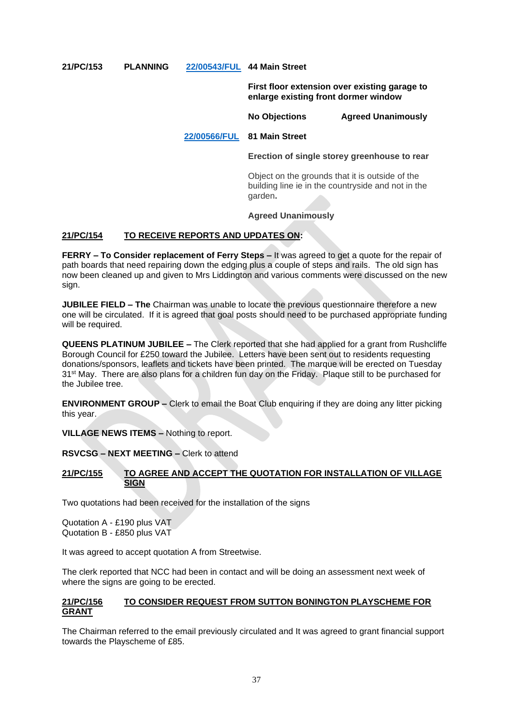## **21/PC/153 PLANNING [22/00543/FUL](https://planningon-line.rushcliffe.gov.uk/online-applications/simpleSearchResults.do?action=firstPage) 44 Main Street**

**First floor extension over existing garage to enlarge existing front dormer window**

**No Objections Agreed Unanimously**

## **[22/00566/FUL](https://planningon-line.rushcliffe.gov.uk/online-applications/applicationDetails.do?keyVal=R8ZA39NLJHJ00&activeTab=summary) 81 Main Street**

**Erection of single storey greenhouse to rear**

Object on the grounds that it is outside of the building line ie in the countryside and not in the garden**.**

## **Agreed Unanimously**

## **21/PC/154 TO RECEIVE REPORTS AND UPDATES ON:**

**FERRY – To Consider replacement of Ferry Steps –** It was agreed to get a quote for the repair of path boards that need repairing down the edging plus a couple of steps and rails. The old sign has now been cleaned up and given to Mrs Liddington and various comments were discussed on the new sign.

**JUBILEE FIELD – The** Chairman was unable to locate the previous questionnaire therefore a new one will be circulated. If it is agreed that goal posts should need to be purchased appropriate funding will be required.

**QUEENS PLATINUM JUBILEE –** The Clerk reported that she had applied for a grant from Rushcliffe Borough Council for £250 toward the Jubilee. Letters have been sent out to residents requesting donations/sponsors, leaflets and tickets have been printed. The marque will be erected on Tuesday 31<sup>st</sup> May. There are also plans for a children fun day on the Friday. Plaque still to be purchased for the Jubilee tree.

**ENVIRONMENT GROUP –** Clerk to email the Boat Club enquiring if they are doing any litter picking this year.

**VILLAGE NEWS ITEMS –** Nothing to report.

**RSVCSG – NEXT MEETING –** Clerk to attend

#### **21/PC/155 TO AGREE AND ACCEPT THE QUOTATION FOR INSTALLATION OF VILLAGE SIGN**

Two quotations had been received for the installation of the signs

Quotation A - £190 plus VAT Quotation B - £850 plus VAT

It was agreed to accept quotation A from Streetwise.

The clerk reported that NCC had been in contact and will be doing an assessment next week of where the signs are going to be erected.

#### **21/PC/156 TO CONSIDER REQUEST FROM SUTTON BONINGTON PLAYSCHEME FOR GRANT**

The Chairman referred to the email previously circulated and It was agreed to grant financial support towards the Playscheme of £85.